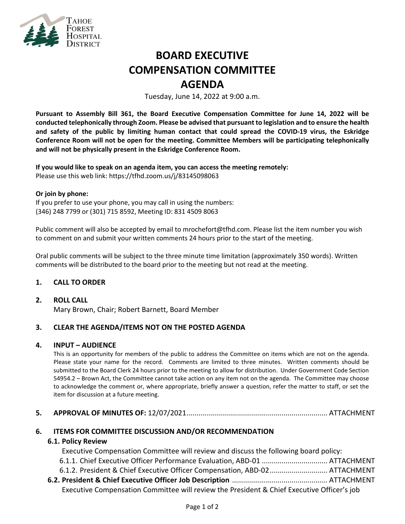

# **BOARD EXECUTIVE COMPENSATION COMMITTEE AGENDA**

Tuesday, June 14, 2022 at 9:00 a.m.

**Pursuant to Assembly Bill 361, the Board Executive Compensation Committee for June 14, 2022 will be conducted telephonically through Zoom. Please be advised that pursuant to legislation and to ensure the health and safety of the public by limiting human contact that could spread the COVID-19 virus, the Eskridge Conference Room will not be open for the meeting. Committee Members will be participating telephonically and will not be physically present in the Eskridge Conference Room.**

**If you would like to speak on an agenda item, you can access the meeting remotely:**  Please use this web link:<https://tfhd.zoom.us/j/83145098063>

#### **Or join by phone:**

If you prefer to use your phone, you may call in using the numbers: (346) 248 7799 or (301) 715 8592, Meeting ID: 831 4509 8063

Public comment will also be accepted by email to mrochefort@tfhd.com. Please list the item number you wish to comment on and submit your written comments 24 hours prior to the start of the meeting.

Oral public comments will be subject to the three minute time limitation (approximately 350 words). Written comments will be distributed to the board prior to the meeting but not read at the meeting.

## **1. CALL TO ORDER**

### **2. ROLL CALL**

Mary Brown, Chair; Robert Barnett, Board Member

## **3. CLEAR THE AGENDA/ITEMS NOT ON THE POSTED AGENDA**

### **4. INPUT – AUDIENCE**

This is an opportunity for members of the public to address the Committee on items which are not on the agenda. Please state your name for the record. Comments are limited to three minutes. Written comments should be submitted to the Board Clerk 24 hours prior to the meeting to allow for distribution. Under Government Code Section 54954.2 – Brown Act, the Committee cannot take action on any item not on the agenda. The Committee may choose to acknowledge the comment or, where appropriate, briefly answer a question, refer the matter to staff, or set the item for discussion at a future meeting.

## **5. APPROVAL OF MINUTES OF:** 12/07/2021....................................................................... ATTACHMENT

### **6. ITEMS FOR COMMITTEE DISCUSSION AND/OR RECOMMENDATION**

### **6.1. Policy Review**

Executive Compensation Committee will review and discuss the following board policy:

- 6.1.1. Chief Executive Officer Performance Evaluation, ABD-01 ................................. ATTACHMENT
- 6.1.2. President & Chief Executive Officer Compensation, ABD-02............................. ATTACHMENT
- **6.2. President & Chief Executive Officer Job Description** ................................................ ATTACHMENT Executive Compensation Committee will review the President & Chief Executive Officer's job